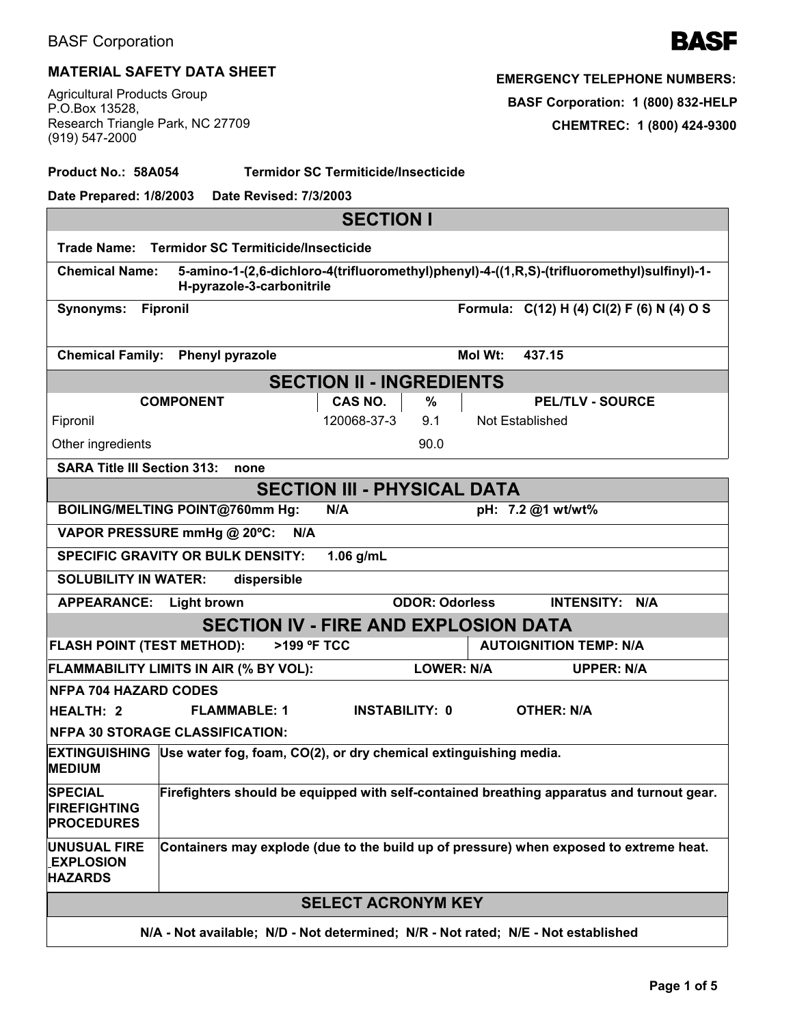# **MATERIAL SAFETY DATA SHEET**

Agricultural Products Group P.O.Box 13528, Research Triangle Park, NC 27709 (919) 547-2000

**Product No.: 58A054 Termidor SC Termiticide/Insecticide**

| Date Prepared: 1/8/2003<br>Date Revised: 7/3/2003                                                                                                |                                                                                           |                     |                                             |                       |         |                                            |  |  |  |
|--------------------------------------------------------------------------------------------------------------------------------------------------|-------------------------------------------------------------------------------------------|---------------------|---------------------------------------------|-----------------------|---------|--------------------------------------------|--|--|--|
| <b>SECTION I</b>                                                                                                                                 |                                                                                           |                     |                                             |                       |         |                                            |  |  |  |
| Termidor SC Termiticide/Insecticide<br>Trade Name:                                                                                               |                                                                                           |                     |                                             |                       |         |                                            |  |  |  |
| 5-amino-1-(2,6-dichloro-4(trifluoromethyl)phenyl)-4-((1,R,S)-(trifluoromethyl)sulfinyl)-1-<br><b>Chemical Name:</b><br>H-pyrazole-3-carbonitrile |                                                                                           |                     |                                             |                       |         |                                            |  |  |  |
| <b>Synonyms:</b>                                                                                                                                 | <b>Fipronil</b>                                                                           |                     |                                             |                       |         | Formula: C(12) H (4) Cl(2) F (6) N (4) O S |  |  |  |
| <b>Chemical Family:</b>                                                                                                                          | <b>Phenyl pyrazole</b>                                                                    |                     |                                             |                       | Mol Wt: | 437.15                                     |  |  |  |
| <b>SECTION II - INGREDIENTS</b>                                                                                                                  |                                                                                           |                     |                                             |                       |         |                                            |  |  |  |
|                                                                                                                                                  | <b>COMPONENT</b>                                                                          |                     | CAS NO.                                     | $\%$                  |         | <b>PEL/TLV - SOURCE</b>                    |  |  |  |
| Fipronil                                                                                                                                         |                                                                                           |                     | 120068-37-3                                 | 9.1                   |         | Not Established                            |  |  |  |
| Other ingredients                                                                                                                                |                                                                                           |                     |                                             | 90.0                  |         |                                            |  |  |  |
| <b>SARA Title III Section 313:</b>                                                                                                               |                                                                                           | none                |                                             |                       |         |                                            |  |  |  |
| <b>SECTION III - PHYSICAL DATA</b>                                                                                                               |                                                                                           |                     |                                             |                       |         |                                            |  |  |  |
| BOILING/MELTING POINT@760mm Hg:                                                                                                                  |                                                                                           |                     | N/A                                         |                       |         | pH: 7.2 @1 wt/wt%                          |  |  |  |
| VAPOR PRESSURE mmHg @ 20°C:                                                                                                                      |                                                                                           | N/A                 |                                             |                       |         |                                            |  |  |  |
| $1.06$ g/mL<br><b>SPECIFIC GRAVITY OR BULK DENSITY:</b>                                                                                          |                                                                                           |                     |                                             |                       |         |                                            |  |  |  |
| <b>SOLUBILITY IN WATER:</b>                                                                                                                      |                                                                                           | dispersible         |                                             |                       |         |                                            |  |  |  |
| <b>APPEARANCE:</b>                                                                                                                               | <b>Light brown</b>                                                                        |                     |                                             | <b>ODOR: Odorless</b> |         | <b>INTENSITY:</b><br>N/A                   |  |  |  |
|                                                                                                                                                  |                                                                                           |                     | <b>SECTION IV - FIRE AND EXPLOSION DATA</b> |                       |         |                                            |  |  |  |
| <b>FLASH POINT (TEST METHOD):</b>                                                                                                                |                                                                                           | >199 °F TCC         |                                             |                       |         | <b>AUTOIGNITION TEMP: N/A</b>              |  |  |  |
| FLAMMABILITY LIMITS IN AIR (% BY VOL):<br><b>LOWER: N/A</b><br><b>UPPER: N/A</b>                                                                 |                                                                                           |                     |                                             |                       |         |                                            |  |  |  |
| <b>NFPA 704 HAZARD CODES</b>                                                                                                                     |                                                                                           |                     |                                             |                       |         |                                            |  |  |  |
| <b>HEALTH: 2</b>                                                                                                                                 |                                                                                           | <b>FLAMMABLE: 1</b> | <b>INSTABILITY: 0</b>                       |                       |         | <b>OTHER: N/A</b>                          |  |  |  |
| <b>NFPA 30 STORAGE CLASSIFICATION:</b>                                                                                                           |                                                                                           |                     |                                             |                       |         |                                            |  |  |  |
| EXTINGUISHING Use water fog, foam, CO(2), or dry chemical extinguishing media.<br><b>MEDIUM</b>                                                  |                                                                                           |                     |                                             |                       |         |                                            |  |  |  |
| <b>SPECIAL</b><br><b>FIREFIGHTING</b><br><b>PROCEDURES</b>                                                                                       | Firefighters should be equipped with self-contained breathing apparatus and turnout gear. |                     |                                             |                       |         |                                            |  |  |  |
| <b>UNUSUAL FIRE</b><br><b>EXPLOSION</b><br><b>HAZARDS</b>                                                                                        | Containers may explode (due to the build up of pressure) when exposed to extreme heat.    |                     |                                             |                       |         |                                            |  |  |  |
| <b>SELECT ACRONYM KEY</b>                                                                                                                        |                                                                                           |                     |                                             |                       |         |                                            |  |  |  |
| N/A - Not available; N/D - Not determined; N/R - Not rated; N/E - Not established                                                                |                                                                                           |                     |                                             |                       |         |                                            |  |  |  |

**EMERGENCY TELEPHONE NUMBERS:**

**BASF Corporation: 1 (800) 832-HELP**

**CHEMTREC: 1 (800) 424-9300**

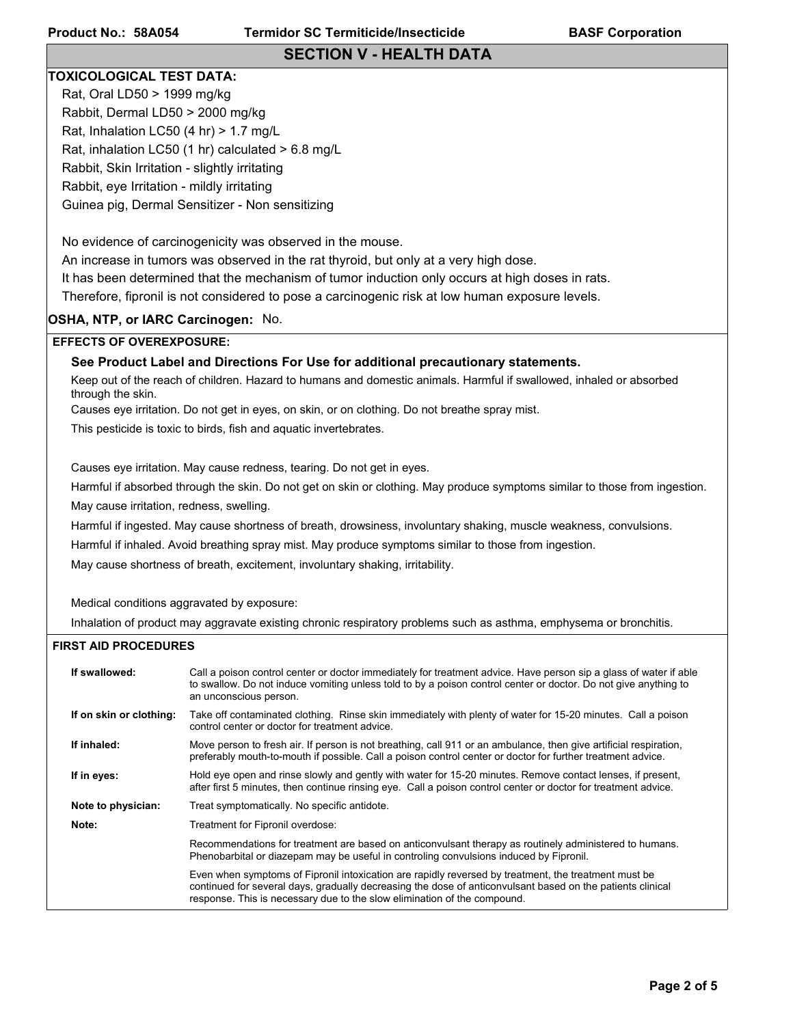### **SECTION V - HEALTH DATA**

#### **TOXICOLOGICAL TEST DATA:**

Rat, Oral LD50 > 1999 mg/kg Rabbit, Dermal LD50 > 2000 mg/kg Rat, Inhalation LC50 (4 hr) > 1.7 mg/L Rat, inhalation LC50 (1 hr) calculated > 6.8 mg/L Rabbit, Skin Irritation - slightly irritating Rabbit, eye Irritation - mildly irritating Guinea pig, Dermal Sensitizer - Non sensitizing

No evidence of carcinogenicity was observed in the mouse.

An increase in tumors was observed in the rat thyroid, but only at a very high dose.

It has been determined that the mechanism of tumor induction only occurs at high doses in rats.

Therefore, fipronil is not considered to pose a carcinogenic risk at low human exposure levels.

#### **OSHA, NTP, or IARC Carcinogen:** No.

#### **EFFECTS OF OVEREXPOSURE:**

#### **See Product Label and Directions For Use for additional precautionary statements.**

Keep out of the reach of children. Hazard to humans and domestic animals. Harmful if swallowed, inhaled or absorbed through the skin.

Causes eye irritation. Do not get in eyes, on skin, or on clothing. Do not breathe spray mist.

This pesticide is toxic to birds, fish and aquatic invertebrates.

Causes eye irritation. May cause redness, tearing. Do not get in eyes.

Harmful if absorbed through the skin. Do not get on skin or clothing. May produce symptoms similar to those from ingestion. May cause irritation, redness, swelling.

Harmful if ingested. May cause shortness of breath, drowsiness, involuntary shaking, muscle weakness, convulsions.

Harmful if inhaled. Avoid breathing spray mist. May produce symptoms similar to those from ingestion.

May cause shortness of breath, excitement, involuntary shaking, irritability.

Medical conditions aggravated by exposure:

Inhalation of product may aggravate existing chronic respiratory problems such as asthma, emphysema or bronchitis.

#### **FIRST AID PROCEDURES**

| If swallowed:           | Call a poison control center or doctor immediately for treatment advice. Have person sip a glass of water if able<br>to swallow. Do not induce vomiting unless told to by a poison control center or doctor. Do not give anything to<br>an unconscious person.                                 |  |  |  |
|-------------------------|------------------------------------------------------------------------------------------------------------------------------------------------------------------------------------------------------------------------------------------------------------------------------------------------|--|--|--|
| If on skin or clothing: | Take off contaminated clothing. Rinse skin immediately with plenty of water for 15-20 minutes. Call a poison<br>control center or doctor for treatment advice.                                                                                                                                 |  |  |  |
| If inhaled:             | Move person to fresh air. If person is not breathing, call 911 or an ambulance, then give artificial respiration,<br>preferably mouth-to-mouth if possible. Call a poison control center or doctor for further treatment advice.                                                               |  |  |  |
| If in eyes:             | Hold eye open and rinse slowly and gently with water for 15-20 minutes. Remove contact lenses, if present,<br>after first 5 minutes, then continue rinsing eye. Call a poison control center or doctor for treatment advice.                                                                   |  |  |  |
| Note to physician:      | Treat symptomatically. No specific antidote.                                                                                                                                                                                                                                                   |  |  |  |
| Note:                   | Treatment for Fipronil overdose:                                                                                                                                                                                                                                                               |  |  |  |
|                         | Recommendations for treatment are based on anticonvulsant therapy as routinely administered to humans.<br>Phenobarbital or diazepam may be useful in controling convulsions induced by Fipronil.                                                                                               |  |  |  |
|                         | Even when symptoms of Fipronil intoxication are rapidly reversed by treatment, the treatment must be<br>continued for several days, gradually decreasing the dose of anticonvulsant based on the patients clinical<br>response. This is necessary due to the slow elimination of the compound. |  |  |  |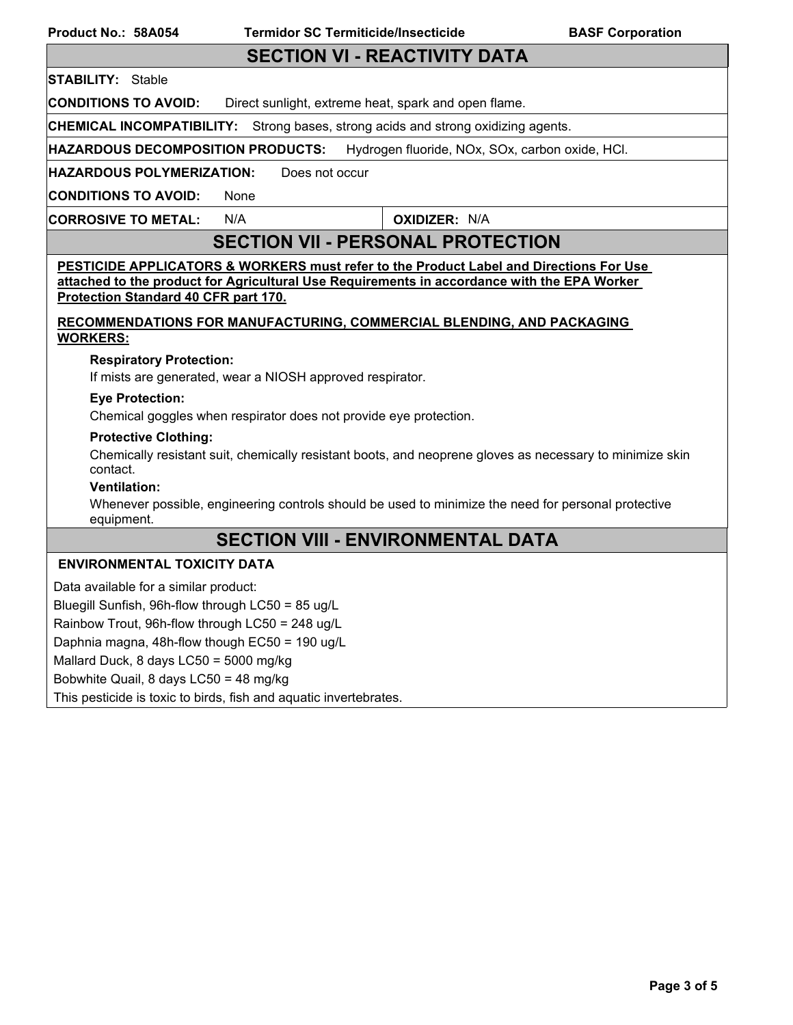## **SECTION VI - REACTIVITY DATA**

### **STABILITY:** Stable

**CONDITIONS TO AVOID:** Direct sunlight, extreme heat, spark and open flame.

**CHEMICAL INCOMPATIBILITY:** Strong bases, strong acids and strong oxidizing agents.

**HAZARDOUS DECOMPOSITION PRODUCTS:** Hydrogen fluoride, NOx, SOx, carbon oxide, HCl.

**HAZARDOUS POLYMERIZATION:** Does not occur

**CONDITIONS TO AVOID:** None

**CORROSIVE TO METAL:** N/A **OXIDIZER:** N/A

# **SECTION VII - PERSONAL PROTECTION**

**PESTICIDE APPLICATORS & WORKERS must refer to the Product Label and Directions For Use attached to the product for Agricultural Use Requirements in accordance with the EPA Worker Protection Standard 40 CFR part 170.**

**RECOMMENDATIONS FOR MANUFACTURING, COMMERCIAL BLENDING, AND PACKAGING WORKERS:**

#### **Respiratory Protection:**

If mists are generated, wear a NIOSH approved respirator.

#### **Eye Protection:**

Chemical goggles when respirator does not provide eye protection.

#### **Protective Clothing:**

Chemically resistant suit, chemically resistant boots, and neoprene gloves as necessary to minimize skin contact.

#### **Ventilation:**

Whenever possible, engineering controls should be used to minimize the need for personal protective equipment.

# **SECTION VIII - ENVIRONMENTAL DATA**

#### **ENVIRONMENTAL TOXICITY DATA**

Data available for a similar product: Bluegill Sunfish, 96h-flow through LC50 = 85 ug/L Rainbow Trout, 96h-flow through LC50 = 248 ug/L Daphnia magna, 48h-flow though EC50 = 190 ug/L Mallard Duck, 8 days LC50 = 5000 mg/kg Bobwhite Quail, 8 days LC50 = 48 mg/kg This pesticide is toxic to birds, fish and aquatic invertebrates.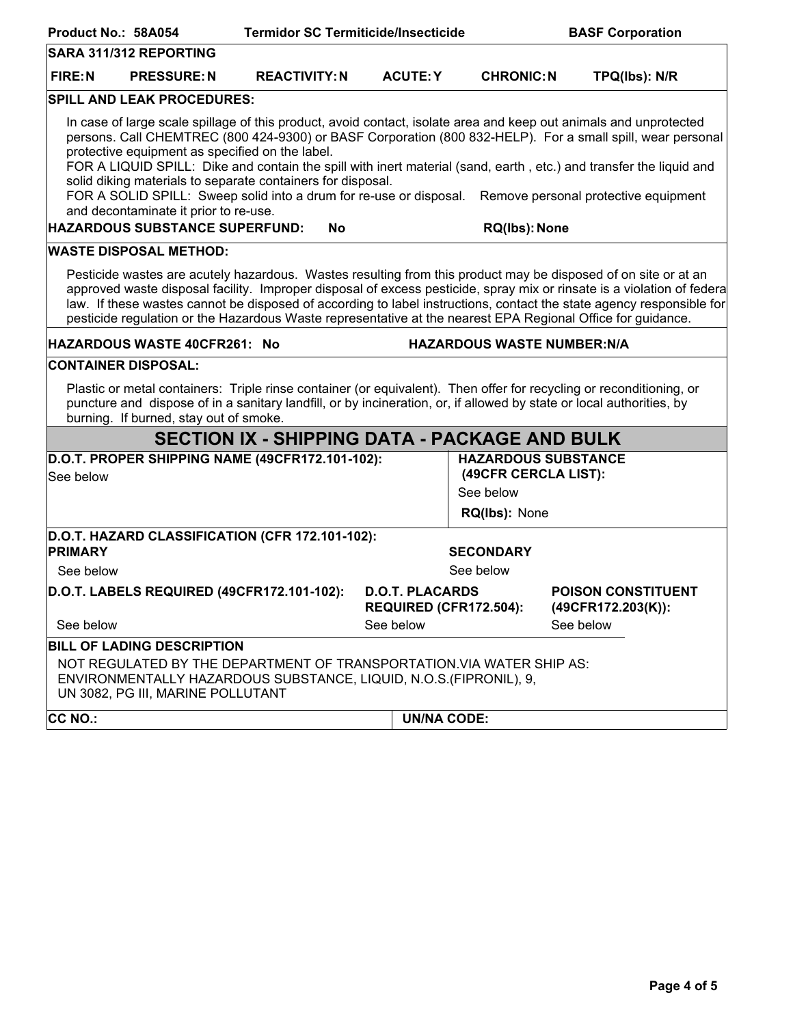| Product No.: 58A054                                                                                                                                                                                                                                                                                                                                                                                                                                                             |                                                                                          | <b>Termidor SC Termiticide/Insecticide</b>                                                                                                  |                    |                                                                                  | <b>BASF Corporation</b>                                                                                                                                                                                                                                                                                                                                                                       |  |  |
|---------------------------------------------------------------------------------------------------------------------------------------------------------------------------------------------------------------------------------------------------------------------------------------------------------------------------------------------------------------------------------------------------------------------------------------------------------------------------------|------------------------------------------------------------------------------------------|---------------------------------------------------------------------------------------------------------------------------------------------|--------------------|----------------------------------------------------------------------------------|-----------------------------------------------------------------------------------------------------------------------------------------------------------------------------------------------------------------------------------------------------------------------------------------------------------------------------------------------------------------------------------------------|--|--|
|                                                                                                                                                                                                                                                                                                                                                                                                                                                                                 | <b>SARA 311/312 REPORTING</b>                                                            |                                                                                                                                             |                    |                                                                                  |                                                                                                                                                                                                                                                                                                                                                                                               |  |  |
| <b>FIRE:N</b>                                                                                                                                                                                                                                                                                                                                                                                                                                                                   | <b>PRESSURE: N</b>                                                                       | <b>REACTIVITY: N</b>                                                                                                                        | <b>ACUTE: Y</b>    | <b>CHRONIC: N</b>                                                                | TPQ(lbs): N/R                                                                                                                                                                                                                                                                                                                                                                                 |  |  |
|                                                                                                                                                                                                                                                                                                                                                                                                                                                                                 | <b>SPILL AND LEAK PROCEDURES:</b>                                                        |                                                                                                                                             |                    |                                                                                  |                                                                                                                                                                                                                                                                                                                                                                                               |  |  |
|                                                                                                                                                                                                                                                                                                                                                                                                                                                                                 | protective equipment as specified on the label.<br>and decontaminate it prior to re-use. | solid diking materials to separate containers for disposal.<br>FOR A SOLID SPILL: Sweep solid into a drum for re-use or disposal.           |                    |                                                                                  | In case of large scale spillage of this product, avoid contact, isolate area and keep out animals and unprotected<br>persons. Call CHEMTREC (800 424-9300) or BASF Corporation (800 832-HELP). For a small spill, wear personal<br>FOR A LIQUID SPILL: Dike and contain the spill with inert material (sand, earth, etc.) and transfer the liquid and<br>Remove personal protective equipment |  |  |
|                                                                                                                                                                                                                                                                                                                                                                                                                                                                                 | <b>HAZARDOUS SUBSTANCE SUPERFUND:</b>                                                    | <b>No</b>                                                                                                                                   |                    | RQ(lbs): None                                                                    |                                                                                                                                                                                                                                                                                                                                                                                               |  |  |
|                                                                                                                                                                                                                                                                                                                                                                                                                                                                                 | <b>WASTE DISPOSAL METHOD:</b>                                                            |                                                                                                                                             |                    |                                                                                  |                                                                                                                                                                                                                                                                                                                                                                                               |  |  |
| Pesticide wastes are acutely hazardous. Wastes resulting from this product may be disposed of on site or at an<br>approved waste disposal facility. Improper disposal of excess pesticide, spray mix or rinsate is a violation of federa<br>law. If these wastes cannot be disposed of according to label instructions, contact the state agency responsible for<br>pesticide regulation or the Hazardous Waste representative at the nearest EPA Regional Office for guidance. |                                                                                          |                                                                                                                                             |                    |                                                                                  |                                                                                                                                                                                                                                                                                                                                                                                               |  |  |
|                                                                                                                                                                                                                                                                                                                                                                                                                                                                                 | HAZARDOUS WASTE 40CFR261: No                                                             |                                                                                                                                             |                    | <b>HAZARDOUS WASTE NUMBER:N/A</b>                                                |                                                                                                                                                                                                                                                                                                                                                                                               |  |  |
|                                                                                                                                                                                                                                                                                                                                                                                                                                                                                 | <b>CONTAINER DISPOSAL:</b>                                                               |                                                                                                                                             |                    |                                                                                  |                                                                                                                                                                                                                                                                                                                                                                                               |  |  |
| Plastic or metal containers: Triple rinse container (or equivalent). Then offer for recycling or reconditioning, or<br>puncture and dispose of in a sanitary landfill, or by incineration, or, if allowed by state or local authorities, by<br>burning. If burned, stay out of smoke.                                                                                                                                                                                           |                                                                                          |                                                                                                                                             |                    |                                                                                  |                                                                                                                                                                                                                                                                                                                                                                                               |  |  |
|                                                                                                                                                                                                                                                                                                                                                                                                                                                                                 |                                                                                          | <b>SECTION IX - SHIPPING DATA - PACKAGE AND BULK</b>                                                                                        |                    |                                                                                  |                                                                                                                                                                                                                                                                                                                                                                                               |  |  |
| See below                                                                                                                                                                                                                                                                                                                                                                                                                                                                       |                                                                                          | D.O.T. PROPER SHIPPING NAME (49CFR172.101-102):                                                                                             |                    | <b>HAZARDOUS SUBSTANCE</b><br>(49CFR CERCLA LIST):<br>See below<br>RQ(Ibs): None |                                                                                                                                                                                                                                                                                                                                                                                               |  |  |
| <b>PRIMARY</b>                                                                                                                                                                                                                                                                                                                                                                                                                                                                  |                                                                                          | D.O.T. HAZARD CLASSIFICATION (CFR 172.101-102):                                                                                             |                    | <b>SECONDARY</b>                                                                 |                                                                                                                                                                                                                                                                                                                                                                                               |  |  |
| See below                                                                                                                                                                                                                                                                                                                                                                                                                                                                       |                                                                                          | See below                                                                                                                                   |                    |                                                                                  |                                                                                                                                                                                                                                                                                                                                                                                               |  |  |
|                                                                                                                                                                                                                                                                                                                                                                                                                                                                                 | D.O.T. LABELS REQUIRED (49CFR172.101-102):                                               | <b>D.O.T. PLACARDS</b><br>REQUIRED (CFR172.504):                                                                                            |                    |                                                                                  | <b>POISON CONSTITUENT</b><br>$(49CFR172.203(K))$ :                                                                                                                                                                                                                                                                                                                                            |  |  |
| See below                                                                                                                                                                                                                                                                                                                                                                                                                                                                       |                                                                                          |                                                                                                                                             | See below          |                                                                                  | See below                                                                                                                                                                                                                                                                                                                                                                                     |  |  |
|                                                                                                                                                                                                                                                                                                                                                                                                                                                                                 | <b>BILL OF LADING DESCRIPTION</b>                                                        |                                                                                                                                             |                    |                                                                                  |                                                                                                                                                                                                                                                                                                                                                                                               |  |  |
|                                                                                                                                                                                                                                                                                                                                                                                                                                                                                 | UN 3082, PG III, MARINE POLLUTANT                                                        | NOT REGULATED BY THE DEPARTMENT OF TRANSPORTATION. VIA WATER SHIP AS:<br>ENVIRONMENTALLY HAZARDOUS SUBSTANCE, LIQUID, N.O.S. (FIPRONIL), 9, |                    |                                                                                  |                                                                                                                                                                                                                                                                                                                                                                                               |  |  |
| <b>CC NO.:</b>                                                                                                                                                                                                                                                                                                                                                                                                                                                                  |                                                                                          |                                                                                                                                             | <b>UN/NA CODE:</b> |                                                                                  |                                                                                                                                                                                                                                                                                                                                                                                               |  |  |
|                                                                                                                                                                                                                                                                                                                                                                                                                                                                                 |                                                                                          |                                                                                                                                             |                    |                                                                                  |                                                                                                                                                                                                                                                                                                                                                                                               |  |  |